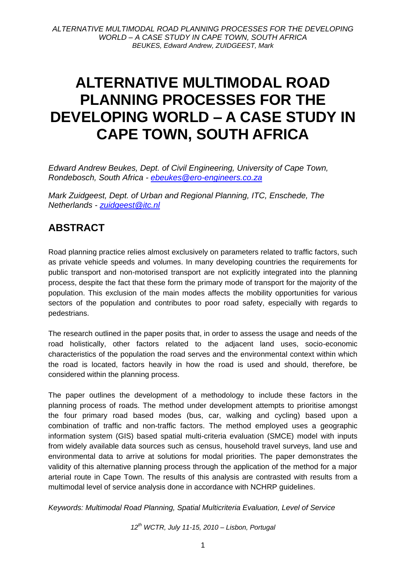# **ALTERNATIVE MULTIMODAL ROAD PLANNING PROCESSES FOR THE DEVELOPING WORLD – A CASE STUDY IN CAPE TOWN, SOUTH AFRICA**

*Edward Andrew Beukes, Dept. of Civil Engineering, University of Cape Town, Rondebosch, South Africa - [ebeukes@ero-engineers.co.za](mailto:ebeukes@ero-engineers.co.za)*

*Mark Zuidgeest, Dept. of Urban and Regional Planning, ITC, Enschede, The Netherlands - [zuidgeest@itc.nl](mailto:zuidgeest@itc.nl)*

# **ABSTRACT**

Road planning practice relies almost exclusively on parameters related to traffic factors, such as private vehicle speeds and volumes. In many developing countries the requirements for public transport and non-motorised transport are not explicitly integrated into the planning process, despite the fact that these form the primary mode of transport for the majority of the population. This exclusion of the main modes affects the mobility opportunities for various sectors of the population and contributes to poor road safety, especially with regards to pedestrians.

The research outlined in the paper posits that, in order to assess the usage and needs of the road holistically, other factors related to the adjacent land uses, socio-economic characteristics of the population the road serves and the environmental context within which the road is located, factors heavily in how the road is used and should, therefore, be considered within the planning process.

The paper outlines the development of a methodology to include these factors in the planning process of roads. The method under development attempts to prioritise amongst the four primary road based modes (bus, car, walking and cycling) based upon a combination of traffic and non-traffic factors. The method employed uses a geographic information system (GIS) based spatial multi-criteria evaluation (SMCE) model with inputs from widely available data sources such as census, household travel surveys, land use and environmental data to arrive at solutions for modal priorities. The paper demonstrates the validity of this alternative planning process through the application of the method for a major arterial route in Cape Town. The results of this analysis are contrasted with results from a multimodal level of service analysis done in accordance with NCHRP guidelines.

*Keywords: Multimodal Road Planning, Spatial Multicriteria Evaluation, Level of Service*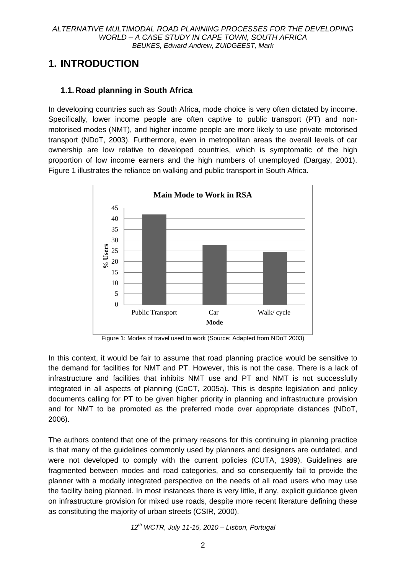# **1. INTRODUCTION**

### **1.1.Road planning in South Africa**

In developing countries such as South Africa, mode choice is very often dictated by income. Specifically, lower income people are often captive to public transport (PT) and nonmotorised modes (NMT), and higher income people are more likely to use private motorised transport (NDoT, 2003). Furthermore, even in metropolitan areas the overall levels of car ownership are low relative to developed countries, which is symptomatic of the high proportion of low income earners and the high numbers of unemployed (Dargay, 2001). Figure 1 illustrates the reliance on walking and public transport in South Africa.



Figure 1: Modes of travel used to work (Source: Adapted from NDoT 2003)

In this context, it would be fair to assume that road planning practice would be sensitive to the demand for facilities for NMT and PT. However, this is not the case. There is a lack of infrastructure and facilities that inhibits NMT use and PT and NMT is not successfully integrated in all aspects of planning (CoCT, 2005a). This is despite legislation and policy documents calling for PT to be given higher priority in planning and infrastructure provision and for NMT to be promoted as the preferred mode over appropriate distances (NDoT, 2006).

The authors contend that one of the primary reasons for this continuing in planning practice is that many of the guidelines commonly used by planners and designers are outdated, and were not developed to comply with the current policies (CUTA, 1989). Guidelines are fragmented between modes and road categories, and so consequently fail to provide the planner with a modally integrated perspective on the needs of all road users who may use the facility being planned. In most instances there is very little, if any, explicit guidance given on infrastructure provision for mixed use roads, despite more recent literature defining these as constituting the majority of urban streets (CSIR, 2000).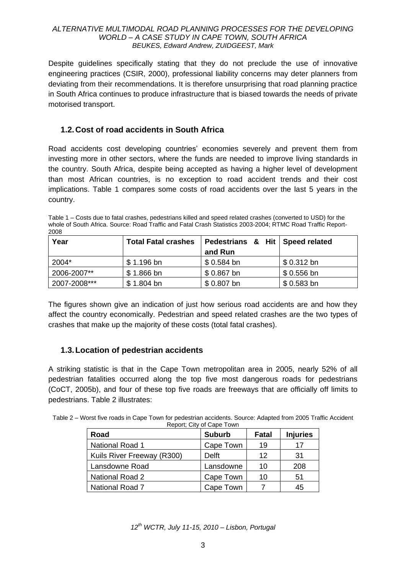Despite guidelines specifically stating that they do not preclude the use of innovative engineering practices (CSIR, 2000), professional liability concerns may deter planners from deviating from their recommendations. It is therefore unsurprising that road planning practice in South Africa continues to produce infrastructure that is biased towards the needs of private motorised transport.

### **1.2.Cost of road accidents in South Africa**

Road accidents cost developing countries" economies severely and prevent them from investing more in other sectors, where the funds are needed to improve living standards in the country. South Africa, despite being accepted as having a higher level of development than most African countries, is no exception to road accident trends and their cost implications. Table 1 compares some costs of road accidents over the last 5 years in the country.

Table 1 – Costs due to fatal crashes, pedestrians killed and speed related crashes (converted to USD) for the whole of South Africa. Source: Road Traffic and Fatal Crash Statistics 2003-2004; RTMC Road Traffic Report-2008

| Year         | <b>Total Fatal crashes</b> | Pedestrians & Hit   Speed related |             |
|--------------|----------------------------|-----------------------------------|-------------|
|              |                            | and Run                           |             |
| 2004*        | $$1.196$ bn                | $$0.584$ bn                       | $$0.312$ bn |
| 2006-2007**  | $$1.866$ bn                | $$0.867$ bn                       | $$0.556$ bn |
| 2007-2008*** | $$1.804$ bn                | $$0.807$ bn                       | $$0.583$ bn |

The figures shown give an indication of just how serious road accidents are and how they affect the country economically. Pedestrian and speed related crashes are the two types of crashes that make up the majority of these costs (total fatal crashes).

### **1.3.Location of pedestrian accidents**

A striking statistic is that in the Cape Town metropolitan area in 2005, nearly 52% of all pedestrian fatalities occurred along the top five most dangerous roads for pedestrians (CoCT, 2005b), and four of these top five roads are freeways that are officially off limits to pedestrians. Table 2 illustrates:

| Table 2 – Worst five roads in Cape Town for pedestrian accidents. Source: Adapted from 2005 Traffic Accident |  |
|--------------------------------------------------------------------------------------------------------------|--|
| Report: City of Cape Town                                                                                    |  |

| Road                       | <b>Suburb</b> | Fatal | <b>Injuries</b> |
|----------------------------|---------------|-------|-----------------|
| <b>National Road 1</b>     | Cape Town     | 19    | 17              |
| Kuils River Freeway (R300) | Delft         | 12    | 31              |
| Lansdowne Road             | Lansdowne     | 10    | 208             |
| <b>National Road 2</b>     | Cape Town     | 10    | 51              |
| <b>National Road 7</b>     | Cape Town     |       | 45              |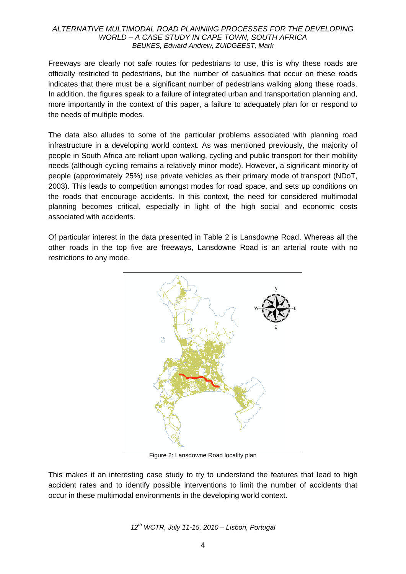Freeways are clearly not safe routes for pedestrians to use, this is why these roads are officially restricted to pedestrians, but the number of casualties that occur on these roads indicates that there must be a significant number of pedestrians walking along these roads. In addition, the figures speak to a failure of integrated urban and transportation planning and, more importantly in the context of this paper, a failure to adequately plan for or respond to the needs of multiple modes.

The data also alludes to some of the particular problems associated with planning road infrastructure in a developing world context. As was mentioned previously, the majority of people in South Africa are reliant upon walking, cycling and public transport for their mobility needs (although cycling remains a relatively minor mode). However, a significant minority of people (approximately 25%) use private vehicles as their primary mode of transport (NDoT, 2003). This leads to competition amongst modes for road space, and sets up conditions on the roads that encourage accidents. In this context, the need for considered multimodal planning becomes critical, especially in light of the high social and economic costs associated with accidents.

Of particular interest in the data presented in Table 2 is Lansdowne Road. Whereas all the other roads in the top five are freeways, Lansdowne Road is an arterial route with no restrictions to any mode.



Figure 2: Lansdowne Road locality plan

This makes it an interesting case study to try to understand the features that lead to high accident rates and to identify possible interventions to limit the number of accidents that occur in these multimodal environments in the developing world context.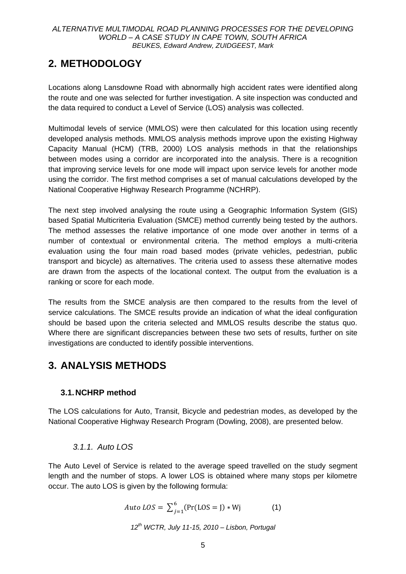# **2. METHODOLOGY**

Locations along Lansdowne Road with abnormally high accident rates were identified along the route and one was selected for further investigation. A site inspection was conducted and the data required to conduct a Level of Service (LOS) analysis was collected.

Multimodal levels of service (MMLOS) were then calculated for this location using recently developed analysis methods. MMLOS analysis methods improve upon the existing Highway Capacity Manual (HCM) (TRB, 2000) LOS analysis methods in that the relationships between modes using a corridor are incorporated into the analysis. There is a recognition that improving service levels for one mode will impact upon service levels for another mode using the corridor. The first method comprises a set of manual calculations developed by the National Cooperative Highway Research Programme (NCHRP).

The next step involved analysing the route using a Geographic Information System (GIS) based Spatial Multicriteria Evaluation (SMCE) method currently being tested by the authors. The method assesses the relative importance of one mode over another in terms of a number of contextual or environmental criteria. The method employs a multi-criteria evaluation using the four main road based modes (private vehicles, pedestrian, public transport and bicycle) as alternatives. The criteria used to assess these alternative modes are drawn from the aspects of the locational context. The output from the evaluation is a ranking or score for each mode.

The results from the SMCE analysis are then compared to the results from the level of service calculations. The SMCE results provide an indication of what the ideal configuration should be based upon the criteria selected and MMLOS results describe the status quo. Where there are significant discrepancies between these two sets of results, further on site investigations are conducted to identify possible interventions.

# **3. ANALYSIS METHODS**

# **3.1.NCHRP method**

The LOS calculations for Auto, Transit, Bicycle and pedestrian modes, as developed by the National Cooperative Highway Research Program (Dowling, 2008), are presented below.

# *3.1.1. Auto LOS*

The Auto Level of Service is related to the average speed travelled on the study segment length and the number of stops. A lower LOS is obtained where many stops per kilometre occur. The auto LOS is given by the following formula:

*Auto LOS* = 
$$
\sum_{j=1}^{6} (Pr(LOS = J) * Wj
$$
 (1)

$$
12^{th}
$$
 WCTR, July 11-15, 2010 – Lisbon, Portugal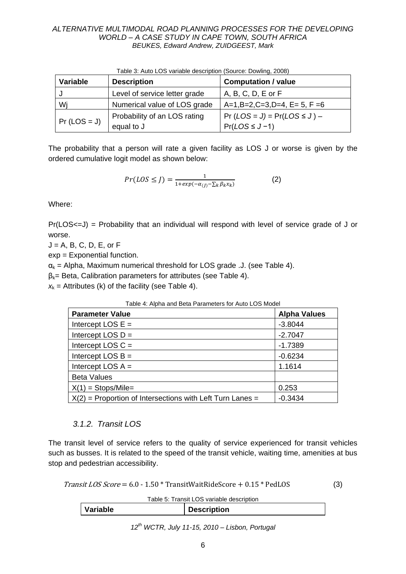| Variable       | <b>Description</b>                         | <b>Computation / value</b>                              |
|----------------|--------------------------------------------|---------------------------------------------------------|
|                | Level of service letter grade              | A, B, C, D, E or F                                      |
| Wi             | Numerical value of LOS grade               | $A=1, B=2, C=3, D=4, E=5, F=6$                          |
| $Pr (LOS = J)$ | Probability of an LOS rating<br>equal to J | $Pr (LOS = J) = Pr (LOS \le J) -$<br>$Pr(LOS \leq J-1)$ |

Table 3: Auto LOS variable description (Source: Dowling, 2008)

The probability that a person will rate a given facility as LOS J or worse is given by the ordered cumulative logit model as shown below:

$$
Pr(LOS \le J) = \frac{1}{1 + exp(-\alpha_{(J)} - \sum_{k} \beta_{k} x_{k})}
$$
 (2)

Where:

Pr(LOS<=J) = Probability that an individual will respond with level of service grade of J or worse.

 $J = A$ , B, C, D, E, or F

exp = Exponential function.

 $\alpha_k$  = Alpha, Maximum numerical threshold for LOS grade .J. (see Table 4).

 $\beta_k$ = Beta, Calibration parameters for attributes (see Table 4).

 $x_k$  = Attributes (k) of the facility (see Table 4).

| Table 4: Alpha and Beta Parameters for Auto LOS Model       |                     |  |
|-------------------------------------------------------------|---------------------|--|
| <b>Parameter Value</b>                                      | <b>Alpha Values</b> |  |
| Intercept LOS $E =$                                         | $-3.8044$           |  |
| Intercept LOS $D =$                                         | $-2.7047$           |  |
| Intercept LOS $C =$                                         | $-1.7389$           |  |
| Intercept LOS $B =$                                         | $-0.6234$           |  |
| Intercept LOS $A =$                                         | 1.1614              |  |
| <b>Beta Values</b>                                          |                     |  |
| $X(1) =$ Stops/Mile=                                        | 0.253               |  |
| $X(2)$ = Proportion of Intersections with Left Turn Lanes = | $-0.3434$           |  |

### Table 4: Alpha and Beta Parameters for Auto LOS Model

### *3.1.2. Transit LOS*

The transit level of service refers to the quality of service experienced for transit vehicles such as busses. It is related to the speed of the transit vehicle, waiting time, amenities at bus stop and pedestrian accessibility.

 $Transit LOS Score = 6.0 - 1.50 * TransitWaitRideScore + 0.15 * PedLOS$  (3)

Table 5: Transit LOS variable description

| Table J. Tialish LOO Vallable describitori |                    |  |  |
|--------------------------------------------|--------------------|--|--|
| Variable                                   | <b>Description</b> |  |  |
|                                            |                    |  |  |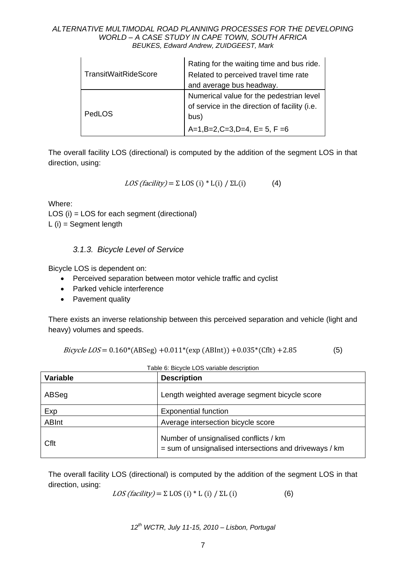|                      | Rating for the waiting time and bus ride.                                                         |
|----------------------|---------------------------------------------------------------------------------------------------|
| TransitWaitRideScore | Related to perceived travel time rate                                                             |
|                      | and average bus headway.                                                                          |
| l PedLOS             | Numerical value for the pedestrian level<br>of service in the direction of facility (i.e.<br>bus) |
|                      | $A=1, B=2, C=3, D=4, E=5, F=6$                                                                    |

The overall facility LOS (directional) is computed by the addition of the segment LOS in that direction, using:

$$
LOS (facility) = \Sigma LOS (i) * L(i) / \Sigma L(i)
$$
 (4)

Where:

LOS (i) = LOS for each segment (directional) L (i) = Segment length

### *3.1.3. Bicycle Level of Service*

Bicycle LOS is dependent on:

- Perceived separation between motor vehicle traffic and cyclist
- Parked vehicle interference
- Pavement quality

There exists an inverse relationship between this perceived separation and vehicle (light and heavy) volumes and speeds.

*Bicycle LOS* = 
$$
0.160*(ABSeg) + 0.011*(exp(ABInt)) + 0.035*(Cfft) + 2.85
$$
 (5)

| <b>Variable</b> | <b>Description</b>                                                                              |  |
|-----------------|-------------------------------------------------------------------------------------------------|--|
| ABSeg           | Length weighted average segment bicycle score                                                   |  |
| Exp             | <b>Exponential function</b>                                                                     |  |
| <b>ABInt</b>    | Average intersection bicycle score                                                              |  |
| Cflt            | Number of unsignalised conflicts / km<br>= sum of unsignalised intersections and driveways / km |  |

Table 6: Bicycle LOS variable description

The overall facility LOS (directional) is computed by the addition of the segment LOS in that direction, using:

$$
LOS(facility) = \Sigma LOS (i) * L (i) / \Sigma L (i)
$$
 (6)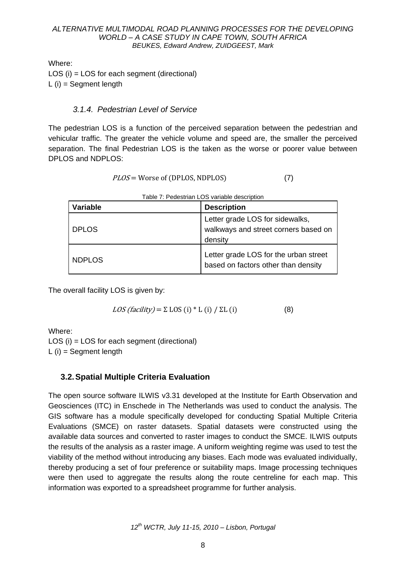Where:

LOS (i) = LOS for each segment (directional) L  $(i)$  = Seament length

### *3.1.4. Pedestrian Level of Service*

The pedestrian LOS is a function of the perceived separation between the pedestrian and vehicular traffic. The greater the vehicle volume and speed are, the smaller the perceived separation. The final Pedestrian LOS is the taken as the worse or poorer value between DPLOS and NDPLOS:

| <i>PLOS</i> = Worse of (DPLOS, NDPLOS) |  |
|----------------------------------------|--|
|----------------------------------------|--|

| <b>Variable</b> | <b>Description</b>                                                                 |
|-----------------|------------------------------------------------------------------------------------|
| <b>DPLOS</b>    | Letter grade LOS for sidewalks,<br>walkways and street corners based on<br>density |
| <b>NDPLOS</b>   | Letter grade LOS for the urban street<br>based on factors other than density       |

| Table 7: Pedestrian LOS variable description |  |
|----------------------------------------------|--|
|                                              |  |

The overall facility LOS is given by:

$$
LOS(facility) = \Sigma LOS (i) * L (i) / \Sigma L (i)
$$
 (8)

Where:

LOS (i) = LOS for each segment (directional)  $L(i)$  = Segment length

# **3.2.Spatial Multiple Criteria Evaluation**

The open source software ILWIS v3.31 developed at the Institute for Earth Observation and Geosciences (ITC) in Enschede in The Netherlands was used to conduct the analysis. The GIS software has a module specifically developed for conducting Spatial Multiple Criteria Evaluations (SMCE) on raster datasets. Spatial datasets were constructed using the available data sources and converted to raster images to conduct the SMCE. ILWIS outputs the results of the analysis as a raster image. A uniform weighting regime was used to test the viability of the method without introducing any biases. Each mode was evaluated individually, thereby producing a set of four preference or suitability maps. Image processing techniques were then used to aggregate the results along the route centreline for each map. This information was exported to a spreadsheet programme for further analysis.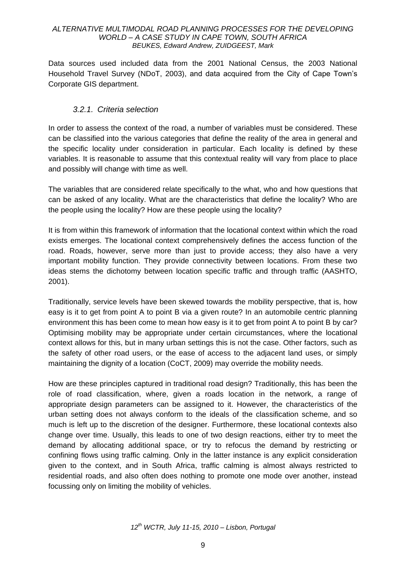Data sources used included data from the 2001 National Census, the 2003 National Household Travel Survey (NDoT, 2003), and data acquired from the City of Cape Town"s Corporate GIS department.

### *3.2.1. Criteria selection*

In order to assess the context of the road, a number of variables must be considered. These can be classified into the various categories that define the reality of the area in general and the specific locality under consideration in particular. Each locality is defined by these variables. It is reasonable to assume that this contextual reality will vary from place to place and possibly will change with time as well.

The variables that are considered relate specifically to the what, who and how questions that can be asked of any locality. What are the characteristics that define the locality? Who are the people using the locality? How are these people using the locality?

It is from within this framework of information that the locational context within which the road exists emerges. The locational context comprehensively defines the access function of the road. Roads, however, serve more than just to provide access; they also have a very important mobility function. They provide connectivity between locations. From these two ideas stems the dichotomy between location specific traffic and through traffic (AASHTO, 2001).

Traditionally, service levels have been skewed towards the mobility perspective, that is, how easy is it to get from point A to point B via a given route? In an automobile centric planning environment this has been come to mean how easy is it to get from point A to point B by car? Optimising mobility may be appropriate under certain circumstances, where the locational context allows for this, but in many urban settings this is not the case. Other factors, such as the safety of other road users, or the ease of access to the adjacent land uses, or simply maintaining the dignity of a location (CoCT, 2009) may override the mobility needs.

How are these principles captured in traditional road design? Traditionally, this has been the role of road classification, where, given a roads location in the network, a range of appropriate design parameters can be assigned to it. However, the characteristics of the urban setting does not always conform to the ideals of the classification scheme, and so much is left up to the discretion of the designer. Furthermore, these locational contexts also change over time. Usually, this leads to one of two design reactions, either try to meet the demand by allocating additional space, or try to refocus the demand by restricting or confining flows using traffic calming. Only in the latter instance is any explicit consideration given to the context, and in South Africa, traffic calming is almost always restricted to residential roads, and also often does nothing to promote one mode over another, instead focussing only on limiting the mobility of vehicles.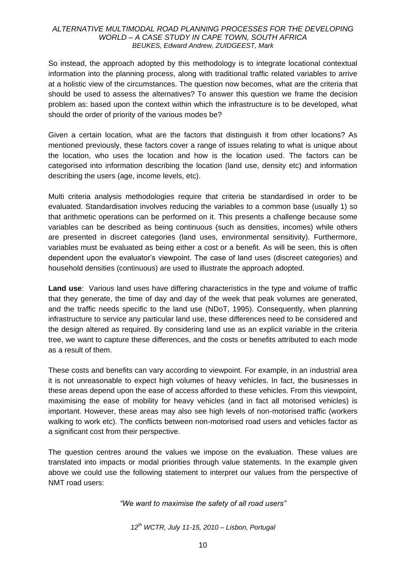So instead, the approach adopted by this methodology is to integrate locational contextual information into the planning process, along with traditional traffic related variables to arrive at a holistic view of the circumstances. The question now becomes, what are the criteria that should be used to assess the alternatives? To answer this question we frame the decision problem as: based upon the context within which the infrastructure is to be developed, what should the order of priority of the various modes be?

Given a certain location, what are the factors that distinguish it from other locations? As mentioned previously, these factors cover a range of issues relating to what is unique about the location, who uses the location and how is the location used. The factors can be categorised into information describing the location (land use, density etc) and information describing the users (age, income levels, etc).

Multi criteria analysis methodologies require that criteria be standardised in order to be evaluated. Standardisation involves reducing the variables to a common base (usually 1) so that arithmetic operations can be performed on it. This presents a challenge because some variables can be described as being continuous (such as densities, incomes) while others are presented in discreet categories (land uses, environmental sensitivity). Furthermore, variables must be evaluated as being either a cost or a benefit. As will be seen, this is often dependent upon the evaluator"s viewpoint. The case of land uses (discreet categories) and household densities (continuous) are used to illustrate the approach adopted.

**Land use**: Various land uses have differing characteristics in the type and volume of traffic that they generate, the time of day and day of the week that peak volumes are generated, and the traffic needs specific to the land use (NDoT, 1995). Consequently, when planning infrastructure to service any particular land use, these differences need to be considered and the design altered as required. By considering land use as an explicit variable in the criteria tree, we want to capture these differences, and the costs or benefits attributed to each mode as a result of them.

These costs and benefits can vary according to viewpoint. For example, in an industrial area it is not unreasonable to expect high volumes of heavy vehicles. In fact, the businesses in these areas depend upon the ease of access afforded to these vehicles. From this viewpoint, maximising the ease of mobility for heavy vehicles (and in fact all motorised vehicles) is important. However, these areas may also see high levels of non-motorised traffic (workers walking to work etc). The conflicts between non-motorised road users and vehicles factor as a significant cost from their perspective.

The question centres around the values we impose on the evaluation. These values are translated into impacts or modal priorities through value statements. In the example given above we could use the following statement to interpret our values from the perspective of NMT road users:

*"We want to maximise the safety of all road users"*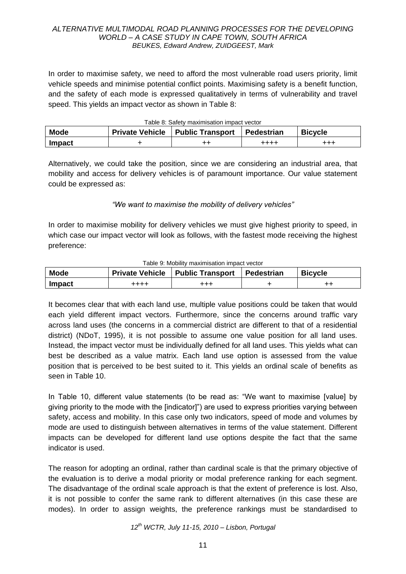In order to maximise safety, we need to afford the most vulnerable road users priority, limit vehicle speeds and minimise potential conflict points. Maximising safety is a benefit function, and the safety of each mode is expressed qualitatively in terms of vulnerability and travel speed. This yields an impact vector as shown in Table 8:

|  | Table 8: Safety maximisation impact vector |
|--|--------------------------------------------|
|  |                                            |

| <b>Mode</b>   | <b>Private Vehicle</b> | <b>Public Transport</b> | Pedestrian | <b>Bicycle</b> |
|---------------|------------------------|-------------------------|------------|----------------|
| <b>Impact</b> |                        |                         | ++++       | $^{+++}$       |

Alternatively, we could take the position, since we are considering an industrial area, that mobility and access for delivery vehicles is of paramount importance. Our value statement could be expressed as:

#### *"We want to maximise the mobility of delivery vehicles"*

In order to maximise mobility for delivery vehicles we must give highest priority to speed, in which case our impact vector will look as follows, with the fastest mode receiving the highest preference:

| rapie 9. Mobility Hiaxiniisation illipact vector |      |                                           |                   |                |  |  |  |
|--------------------------------------------------|------|-------------------------------------------|-------------------|----------------|--|--|--|
| <b>Mode</b>                                      |      | <b>Private Vehicle   Public Transport</b> | <b>Pedestrian</b> | <b>Bicycle</b> |  |  |  |
| <b>Impact</b>                                    | ++++ | +++                                       |                   |                |  |  |  |

#### Table 9: Mobility maximisation impact vector

It becomes clear that with each land use, multiple value positions could be taken that would each yield different impact vectors. Furthermore, since the concerns around traffic vary across land uses (the concerns in a commercial district are different to that of a residential district) (NDoT, 1995), it is not possible to assume one value position for all land uses. Instead, the impact vector must be individually defined for all land uses. This yields what can best be described as a value matrix. Each land use option is assessed from the value position that is perceived to be best suited to it. This yields an ordinal scale of benefits as seen in Table 10.

In Table 10, different value statements (to be read as: "We want to maximise [value] by giving priority to the mode with the [indicator]") are used to express priorities varying between safety, access and mobility. In this case only two indicators, speed of mode and volumes by mode are used to distinguish between alternatives in terms of the value statement. Different impacts can be developed for different land use options despite the fact that the same indicator is used.

The reason for adopting an ordinal, rather than cardinal scale is that the primary objective of the evaluation is to derive a modal priority or modal preference ranking for each segment. The disadvantage of the ordinal scale approach is that the extent of preference is lost. Also, it is not possible to confer the same rank to different alternatives (in this case these are modes). In order to assign weights, the preference rankings must be standardised to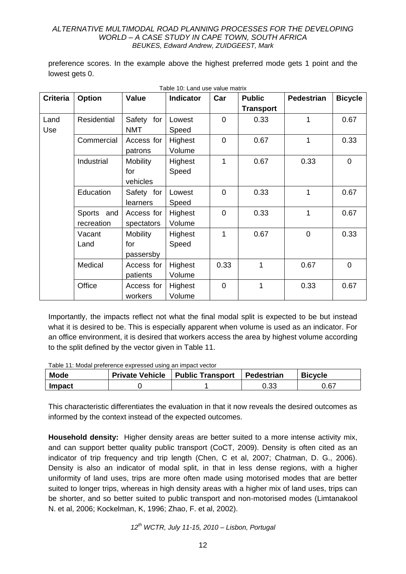preference scores. In the example above the highest preferred mode gets 1 point and the lowest gets 0.

Table 10: Land use value matrix

| <b>Criteria</b> | <b>Option</b>        | Value           | Table TV. Lariu use value matrix<br>Indicator | Car            | <b>Public</b>    | <b>Pedestrian</b> | <b>Bicycle</b> |
|-----------------|----------------------|-----------------|-----------------------------------------------|----------------|------------------|-------------------|----------------|
|                 |                      |                 |                                               |                | <b>Transport</b> |                   |                |
| Land            | <b>Residential</b>   | Safety for      | Lowest                                        | $\overline{0}$ | 0.33             | 1                 | 0.67           |
| Use             |                      | <b>NMT</b>      | Speed                                         |                |                  |                   |                |
|                 | Commercial           | Access for      | Highest                                       | $\mathbf 0$    | 0.67             | 1                 | 0.33           |
|                 |                      | patrons         | Volume                                        |                |                  |                   |                |
|                 | Industrial           | <b>Mobility</b> | Highest                                       | 1              | 0.67             | 0.33              | $\overline{0}$ |
|                 |                      | for             | Speed                                         |                |                  |                   |                |
|                 |                      | vehicles        |                                               |                |                  |                   |                |
|                 | Education            | Safety for      | Lowest                                        | $\overline{0}$ | 0.33             | 1                 | 0.67           |
|                 |                      | learners        | Speed                                         |                |                  |                   |                |
|                 | <b>Sports</b><br>and | Access for      | Highest                                       | $\overline{0}$ | 0.33             | 1                 | 0.67           |
|                 | recreation           | spectators      | Volume                                        |                |                  |                   |                |
|                 | Vacant               | <b>Mobility</b> | Highest                                       | 1              | 0.67             | $\mathbf 0$       | 0.33           |
|                 | Land                 | for             | Speed                                         |                |                  |                   |                |
|                 |                      | passersby       |                                               |                |                  |                   |                |
|                 | Medical              | Access for      | Highest                                       | 0.33           | 1                | 0.67              | $\overline{0}$ |
|                 |                      | patients        | Volume                                        |                |                  |                   |                |
|                 | Office               | Access for      | Highest                                       | $\overline{0}$ | 1                | 0.33              | 0.67           |
|                 |                      | workers         | Volume                                        |                |                  |                   |                |

Importantly, the impacts reflect not what the final modal split is expected to be but instead what it is desired to be. This is especially apparent when volume is used as an indicator. For an office environment, it is desired that workers access the area by highest volume according to the split defined by the vector given in Table 11.

Table 11: Modal preference expressed using an impact vector

| <b>Mode</b>   | <b>Private Vehicle   Public Transport</b> | Pedestrian | <b>Bicycle</b> |
|---------------|-------------------------------------------|------------|----------------|
| <b>Impact</b> |                                           | 0.33       | 0.67           |

This characteristic differentiates the evaluation in that it now reveals the desired outcomes as informed by the context instead of the expected outcomes.

**Household density:** Higher density areas are better suited to a more intense activity mix, and can support better quality public transport (CoCT, 2009). Density is often cited as an indicator of trip frequency and trip length (Chen, C et al, 2007; Chatman, D. G., 2006). Density is also an indicator of modal split, in that in less dense regions, with a higher uniformity of land uses, trips are more often made using motorised modes that are better suited to longer trips, whereas in high density areas with a higher mix of land uses, trips can be shorter, and so better suited to public transport and non-motorised modes (Limtanakool N. et al, 2006; Kockelman, K, 1996; Zhao, F. et al, 2002).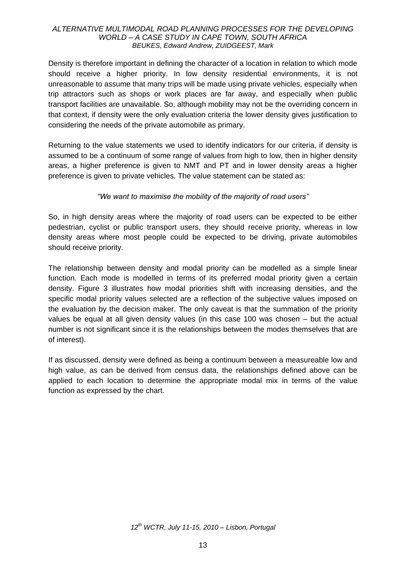Density is therefore important in defining the character of a location in relation to which mode should receive a higher priority. In low density residential environments, it is not unreasonable to assume that many trips will be made using private vehicles, especially when trip attractors such as shops or work places are far away, and especially when public transport facilities are unavailable. So, although mobility may not be the overriding concern in that context, if density were the only evaluation criteria the lower density gives justification to considering the needs of the private automobile as primary.

Returning to the value statements we used to identify indicators for our criteria, if density is assumed to be a continuum of some range of values from high to low, then in higher density areas, a higher preference is given to NMT and PT and in lower density areas a higher preference is given to private vehicles. The value statement can be stated as:

### *"We want to maximise the mobility of the majority of road users"*

So, in high density areas where the majority of road users can be expected to be either pedestrian, cyclist or public transport users, they should receive priority, whereas in low density areas where most people could be expected to be driving, private automobiles should receive priority.

The relationship between density and modal priority can be modelled as a simple linear function. Each mode is modelled in terms of its preferred modal priority given a certain density. Figure 3 illustrates how modal priorities shift with increasing densities, and the specific modal priority values selected are a reflection of the subjective values imposed on the evaluation by the decision maker. The only caveat is that the summation of the priority values be equal at all given density values (in this case 100 was chosen – but the actual number is not significant since it is the relationships between the modes themselves that are of interest).

If as discussed, density were defined as being a continuum between a measureable low and high value, as can be derived from census data, the relationships defined above can be applied to each location to determine the appropriate modal mix in terms of the value function as expressed by the chart.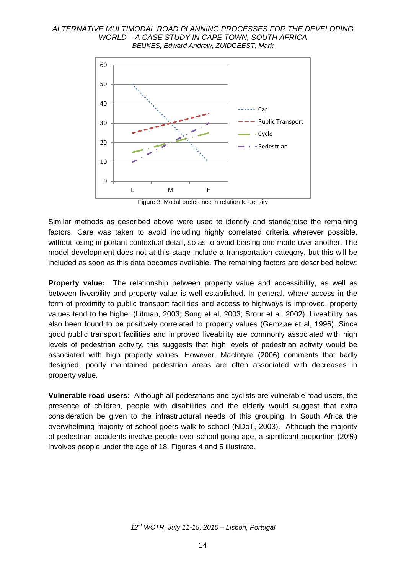

Figure 3: Modal preference in relation to density

Similar methods as described above were used to identify and standardise the remaining factors. Care was taken to avoid including highly correlated criteria wherever possible, without losing important contextual detail, so as to avoid biasing one mode over another. The model development does not at this stage include a transportation category, but this will be included as soon as this data becomes available. The remaining factors are described below:

**Property value:** The relationship between property value and accessibility, as well as between liveability and property value is well established. In general, where access in the form of proximity to public transport facilities and access to highways is improved, property values tend to be higher (Litman, 2003; Song et al, 2003; Srour et al, 2002). Liveability has also been found to be positively correlated to property values (Gemzøe et al, 1996). Since good public transport facilities and improved liveability are commonly associated with high levels of pedestrian activity, this suggests that high levels of pedestrian activity would be associated with high property values. However, MacIntyre (2006) comments that badly designed, poorly maintained pedestrian areas are often associated with decreases in property value.

**Vulnerable road users:** Although all pedestrians and cyclists are vulnerable road users, the presence of children, people with disabilities and the elderly would suggest that extra consideration be given to the infrastructural needs of this grouping. In South Africa the overwhelming majority of school goers walk to school (NDoT, 2003). Although the majority of pedestrian accidents involve people over school going age, a significant proportion (20%) involves people under the age of 18. Figures 4 and 5 illustrate.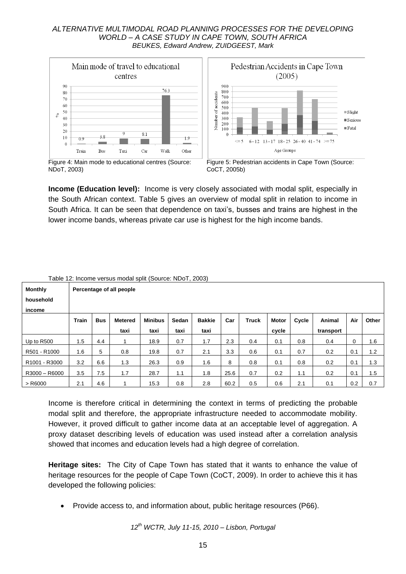

**Income (Education level):** Income is very closely associated with modal split, especially in the South African context. Table 5 gives an overview of modal split in relation to income in South Africa. It can be seen that dependence on taxi"s, busses and trains are highest in the lower income bands, whereas private car use is highest for the high income bands.

|                                       | l able 12: Income versus modal split (Source: NDo I , 2003). |                          |                |                |       |               |      |       |              |       |           |             |       |
|---------------------------------------|--------------------------------------------------------------|--------------------------|----------------|----------------|-------|---------------|------|-------|--------------|-------|-----------|-------------|-------|
| <b>Monthly</b>                        |                                                              | Percentage of all people |                |                |       |               |      |       |              |       |           |             |       |
| household                             |                                                              |                          |                |                |       |               |      |       |              |       |           |             |       |
| income                                |                                                              |                          |                |                |       |               |      |       |              |       |           |             |       |
|                                       | Train                                                        | <b>Bus</b>               | <b>Metered</b> | <b>Minibus</b> | Sedan | <b>Bakkie</b> | Car  | Truck | <b>Motor</b> | Cycle | Animal    | Air         | Other |
|                                       |                                                              |                          | taxi           | taxi           | taxi  | taxi          |      |       | cycle        |       | transport |             |       |
| Up to R500                            | 1.5                                                          | 4.4                      |                | 18.9           | 0.7   | 1.7           | 2.3  | 0.4   | 0.1          | 0.8   | 0.4       | $\mathbf 0$ | 1.6   |
| R501 - R1000                          | 1.6                                                          | 5                        | 0.8            | 19.8           | 0.7   | 2.1           | 3.3  | 0.6   | 0.1          | 0.7   | 0.2       | 0.1         | 1.2   |
| R <sub>1001</sub> - R <sub>3000</sub> | 3.2                                                          | 6.6                      | 1.3            | 26.3           | 0.9   | 1.6           | 8    | 0.8   | 0.1          | 0.8   | 0.2       | 0.1         | 1.3   |
| R3000 - R6000                         | 3.5                                                          | 7.5                      | 1.7            | 28.7           | 1.1   | 1.8           | 25.6 | 0.7   | 0.2          | 1.1   | 0.2       | 0.1         | 1.5   |
| $>$ R6000                             | 2.1                                                          | 4.6                      |                | 15.3           | 0.8   | 2.8           | 60.2 | 0.5   | 0.6          | 2.1   | 0.1       | 0.2         | 0.7   |

|  | Table 12: Income versus modal split (Source: NDoT, 2003) |  |  |  |
|--|----------------------------------------------------------|--|--|--|
|  |                                                          |  |  |  |

Income is therefore critical in determining the context in terms of predicting the probable modal split and therefore, the appropriate infrastructure needed to accommodate mobility. However, it proved difficult to gather income data at an acceptable level of aggregation. A proxy dataset describing levels of education was used instead after a correlation analysis showed that incomes and education levels had a high degree of correlation.

**Heritage sites:** The City of Cape Town has stated that it wants to enhance the value of heritage resources for the people of Cape Town (CoCT, 2009). In order to achieve this it has developed the following policies:

Provide access to, and information about, public heritage resources (P66).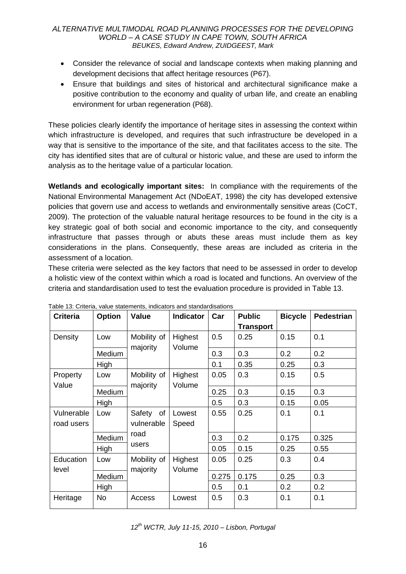- Consider the relevance of social and landscape contexts when making planning and development decisions that affect heritage resources (P67).
- Ensure that buildings and sites of historical and architectural significance make a positive contribution to the economy and quality of urban life, and create an enabling environment for urban regeneration (P68).

These policies clearly identify the importance of heritage sites in assessing the context within which infrastructure is developed, and requires that such infrastructure be developed in a way that is sensitive to the importance of the site, and that facilitates access to the site. The city has identified sites that are of cultural or historic value, and these are used to inform the analysis as to the heritage value of a particular location.

**Wetlands and ecologically important sites:** In compliance with the requirements of the National Environmental Management Act (NDoEAT, 1998) the city has developed extensive policies that govern use and access to wetlands and environmentally sensitive areas (CoCT, 2009). The protection of the valuable natural heritage resources to be found in the city is a key strategic goal of both social and economic importance to the city, and consequently infrastructure that passes through or abuts these areas must include them as key considerations in the plans. Consequently, these areas are included as criteria in the assessment of a location.

These criteria were selected as the key factors that need to be assessed in order to develop a holistic view of the context within which a road is located and functions. An overview of the criteria and standardisation used to test the evaluation procedure is provided in Table 13.

| <b>Criteria</b>          | <b>Option</b> | ablo To. Ontona, value etatemento, indicatore and etangulatedrone<br>Value | <b>Indicator</b>  | Car   | <b>Public</b>    | <b>Bicycle</b> | <b>Pedestrian</b> |
|--------------------------|---------------|----------------------------------------------------------------------------|-------------------|-------|------------------|----------------|-------------------|
|                          |               |                                                                            |                   |       | <b>Transport</b> |                |                   |
| Density                  | Low           | Mobility of<br>majority                                                    | Highest<br>Volume | 0.5   | 0.25             | 0.15           | 0.1               |
|                          | Medium        |                                                                            |                   | 0.3   | 0.3              | 0.2            | 0.2               |
|                          | High          |                                                                            |                   | 0.1   | 0.35             | 0.25           | 0.3               |
| Property<br>Value        | Low           | Mobility of<br>majority                                                    | Highest<br>Volume | 0.05  | 0.3              | 0.15           | 0.5               |
|                          | Medium        |                                                                            |                   | 0.25  | 0.3              | 0.15           | 0.3               |
|                          | High          |                                                                            |                   | 0.5   | 0.3              | 0.15           | 0.05              |
| Vulnerable<br>road users | Low           | of<br>Safety<br>vulnerable                                                 | Lowest<br>Speed   | 0.55  | 0.25             | 0.1            | 0.1               |
|                          | Medium        | road                                                                       |                   | 0.3   | 0.2              | 0.175          | 0.325             |
|                          | High          | users                                                                      |                   | 0.05  | 0.15             | 0.25           | 0.55              |
| Education<br>level       | Low           | Mobility of<br>majority                                                    | Highest<br>Volume | 0.05  | 0.25             | 0.3            | 0.4               |
|                          | Medium        |                                                                            |                   | 0.275 | 0.175            | 0.25           | 0.3               |
|                          | High          |                                                                            |                   | 0.5   | 0.1              | 0.2            | 0.2               |
| Heritage                 | No            | Access                                                                     | Lowest            | 0.5   | 0.3              | 0.1            | 0.1               |

Table 13: Criteria, value statements, indicators and standardisations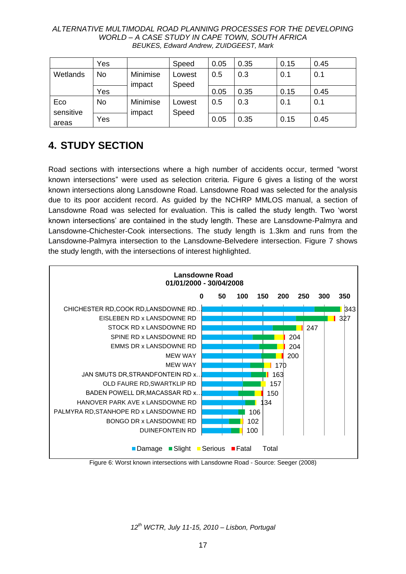|           | Yes |          | Speed  | 0.05 | 0.35 | 0.15 | 0.45 |
|-----------|-----|----------|--------|------|------|------|------|
| Wetlands  | No  | Minimise | Lowest | 0.5  | 0.3  | 0.1  | 0.1  |
|           |     | impact   | Speed  |      |      |      |      |
|           | Yes |          |        | 0.05 | 0.35 | 0.15 | 0.45 |
| Eco       | No  | Minimise | Lowest | 0.5  | 0.3  | 0.1  | 0.1  |
| sensitive |     | impact   | Speed  |      |      |      |      |
| areas     | Yes |          |        | 0.05 | 0.35 | 0.15 | 0.45 |

# **4. STUDY SECTION**

Road sections with intersections where a high number of accidents occur, termed "worst known intersections" were used as selection criteria. Figure 6 gives a listing of the worst known intersections along Lansdowne Road. Lansdowne Road was selected for the analysis due to its poor accident record. As guided by the NCHRP MMLOS manual, a section of Lansdowne Road was selected for evaluation. This is called the study length. Two "worst known intersections" are contained in the study length. These are Lansdowne-Palmyra and Lansdowne-Chichester-Cook intersections. The study length is 1.3km and runs from the Lansdowne-Palmyra intersection to the Lansdowne-Belvedere intersection. Figure 7 shows the study length, with the intersections of interest highlighted.



Figure 6: Worst known intersections with Lansdowne Road - Source: Seeger (2008)

*12th WCTR, July 11-15, 2010 – Lisbon, Portugal*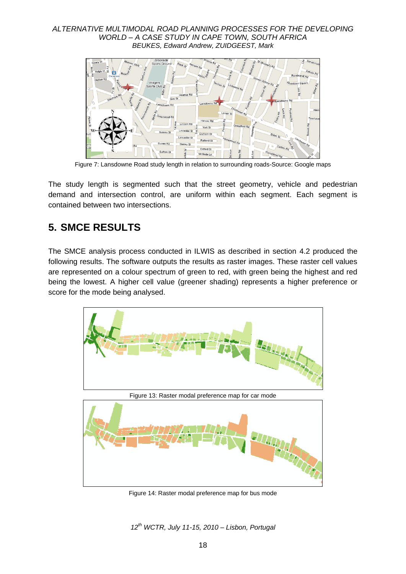

Figure 7: Lansdowne Road study length in relation to surrounding roads-Source: Google maps

The study length is segmented such that the street geometry, vehicle and pedestrian demand and intersection control, are uniform within each segment. Each segment is contained between two intersections.

# **5. SMCE RESULTS**

The SMCE analysis process conducted in ILWIS as described in section 4.2 produced the following results. The software outputs the results as raster images. These raster cell values are represented on a colour spectrum of green to red, with green being the highest and red being the lowest. A higher cell value (greener shading) represents a higher preference or score for the mode being analysed.



Figure 14: Raster modal preference map for bus mode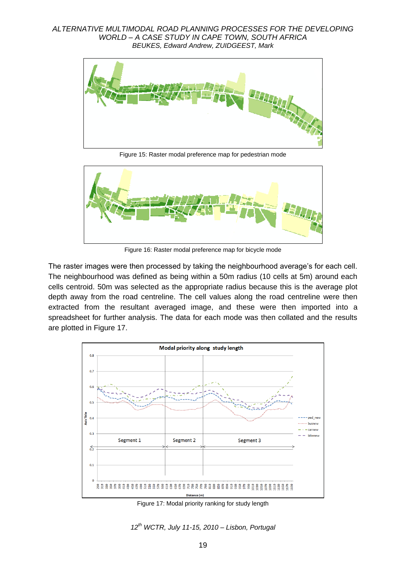

Figure 15: Raster modal preference map for pedestrian mode



Figure 16: Raster modal preference map for bicycle mode

The raster images were then processed by taking the neighbourhood average's for each cell. The neighbourhood was defined as being within a 50m radius (10 cells at 5m) around each cells centroid. 50m was selected as the appropriate radius because this is the average plot depth away from the road centreline. The cell values along the road centreline were then extracted from the resultant averaged image, and these were then imported into a spreadsheet for further analysis. The data for each mode was then collated and the results are plotted in Figure 17.



Figure 17: Modal priority ranking for study length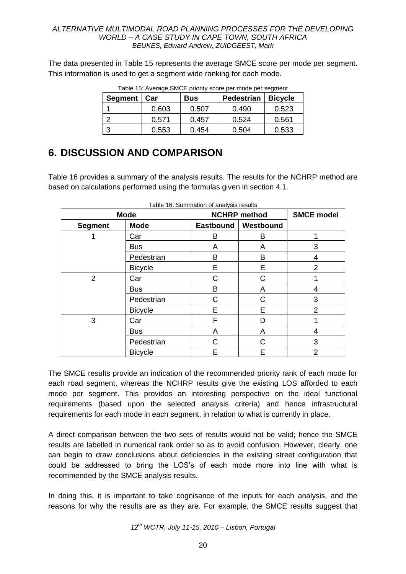The data presented in Table 15 represents the average SMCE score per mode per segment. This information is used to get a segment wide ranking for each mode.

| <b>Segment</b> | <b>Bus</b><br>Car |       | <b>Pedestrian</b> | <b>Bicycle</b> |  |
|----------------|-------------------|-------|-------------------|----------------|--|
|                | 0.603             | 0.507 | 0.490             | 0.523          |  |
|                | 0.571             | 0.457 | 0.524             | 0.561          |  |
|                | 0.553             | 0.454 | 0.504             | 0.533          |  |

Table 15: Average SMCE priority score per mode per segment

# **6. DISCUSSION AND COMPARISON**

Table 16 provides a summary of the analysis results. The results for the NCHRP method are based on calculations performed using the formulas given in section 4.1.

|                | <b>Mode</b>    |   | <b>NCHRP</b> method   | <b>SMCE model</b> |
|----------------|----------------|---|-----------------------|-------------------|
| <b>Segment</b> | <b>Mode</b>    |   | Eastbound   Westbound |                   |
|                | Car            | В | B                     |                   |
|                | <b>Bus</b>     | A | A                     | 3                 |
|                | Pedestrian     | В | B                     | 4                 |
|                | <b>Bicycle</b> | E | Е                     | 2                 |
| $\overline{2}$ | Car            | С | C                     |                   |
|                | <b>Bus</b>     | B | A                     | 4                 |
|                | Pedestrian     | C | C                     | 3                 |
|                | <b>Bicycle</b> | E | E                     | 2                 |
| 3              | Car            | F | D                     |                   |
|                | <b>Bus</b>     | A | A                     | 4                 |
|                | Pedestrian     | C | С                     | 3                 |
|                | <b>Bicycle</b> | E | Е                     | $\overline{2}$    |

|  | Table 16: Summation of analysis results |  |  |
|--|-----------------------------------------|--|--|
|--|-----------------------------------------|--|--|

The SMCE results provide an indication of the recommended priority rank of each mode for each road segment, whereas the NCHRP results give the existing LOS afforded to each mode per segment. This provides an interesting perspective on the ideal functional requirements (based upon the selected analysis criteria) and hence infrastructural requirements for each mode in each segment, in relation to what is currently in place.

A direct comparison between the two sets of results would not be valid; hence the SMCE results are labelled in numerical rank order so as to avoid confusion. However, clearly, one can begin to draw conclusions about deficiencies in the existing street configuration that could be addressed to bring the LOS"s of each mode more into line with what is recommended by the SMCE analysis results.

In doing this, it is important to take cognisance of the inputs for each analysis, and the reasons for why the results are as they are. For example, the SMCE results suggest that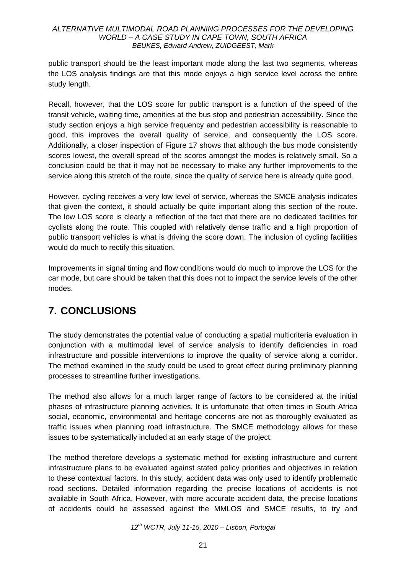public transport should be the least important mode along the last two segments, whereas the LOS analysis findings are that this mode enjoys a high service level across the entire study length.

Recall, however, that the LOS score for public transport is a function of the speed of the transit vehicle, waiting time, amenities at the bus stop and pedestrian accessibility. Since the study section enjoys a high service frequency and pedestrian accessibility is reasonable to good, this improves the overall quality of service, and consequently the LOS score. Additionally, a closer inspection of Figure 17 shows that although the bus mode consistently scores lowest, the overall spread of the scores amongst the modes is relatively small. So a conclusion could be that it may not be necessary to make any further improvements to the service along this stretch of the route, since the quality of service here is already quite good.

However, cycling receives a very low level of service, whereas the SMCE analysis indicates that given the context, it should actually be quite important along this section of the route. The low LOS score is clearly a reflection of the fact that there are no dedicated facilities for cyclists along the route. This coupled with relatively dense traffic and a high proportion of public transport vehicles is what is driving the score down. The inclusion of cycling facilities would do much to rectify this situation.

Improvements in signal timing and flow conditions would do much to improve the LOS for the car mode, but care should be taken that this does not to impact the service levels of the other modes.

# **7. CONCLUSIONS**

The study demonstrates the potential value of conducting a spatial multicriteria evaluation in conjunction with a multimodal level of service analysis to identify deficiencies in road infrastructure and possible interventions to improve the quality of service along a corridor. The method examined in the study could be used to great effect during preliminary planning processes to streamline further investigations.

The method also allows for a much larger range of factors to be considered at the initial phases of infrastructure planning activities. It is unfortunate that often times in South Africa social, economic, environmental and heritage concerns are not as thoroughly evaluated as traffic issues when planning road infrastructure. The SMCE methodology allows for these issues to be systematically included at an early stage of the project.

The method therefore develops a systematic method for existing infrastructure and current infrastructure plans to be evaluated against stated policy priorities and objectives in relation to these contextual factors. In this study, accident data was only used to identify problematic road sections. Detailed information regarding the precise locations of accidents is not available in South Africa. However, with more accurate accident data, the precise locations of accidents could be assessed against the MMLOS and SMCE results, to try and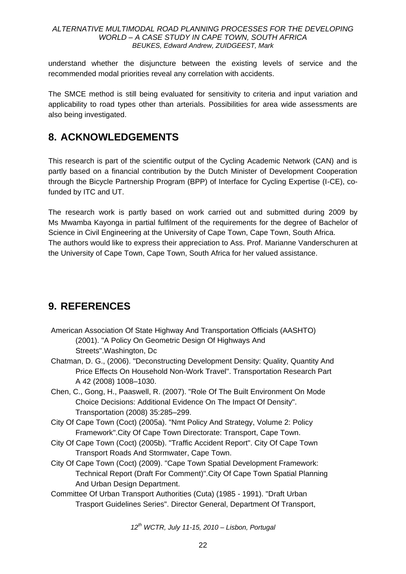understand whether the disjuncture between the existing levels of service and the recommended modal priorities reveal any correlation with accidents.

The SMCE method is still being evaluated for sensitivity to criteria and input variation and applicability to road types other than arterials. Possibilities for area wide assessments are also being investigated.

# **8. ACKNOWLEDGEMENTS**

This research is part of the scientific output of the Cycling Academic Network (CAN) and is partly based on a financial contribution by the Dutch Minister of Development Cooperation through the Bicycle Partnership Program (BPP) of Interface for Cycling Expertise (I-CE), cofunded by ITC and UT.

The research work is partly based on work carried out and submitted during 2009 by Ms Mwamba Kayonga in partial fulfilment of the requirements for the degree of Bachelor of Science in Civil Engineering at the University of Cape Town, Cape Town, South Africa. The authors would like to express their appreciation to Ass. Prof. Marianne Vanderschuren at the University of Cape Town, Cape Town, South Africa for her valued assistance.

# **9. REFERENCES**

- American Association Of State Highway And Transportation Officials (AASHTO) (2001). "A Policy On Geometric Design Of Highways And Streets".Washington, Dc
- Chatman, D. G., (2006). "Deconstructing Development Density: Quality, Quantity And Price Effects On Household Non-Work Travel". Transportation Research Part A 42 (2008) 1008–1030.
- Chen, C., Gong, H., Paaswell, R. (2007). "Role Of The Built Environment On Mode Choice Decisions: Additional Evidence On The Impact Of Density". Transportation (2008) 35:285–299.
- City Of Cape Town (Coct) (2005a). "Nmt Policy And Strategy, Volume 2: Policy Framework".City Of Cape Town Directorate: Transport, Cape Town.
- City Of Cape Town (Coct) (2005b). "Traffic Accident Report". City Of Cape Town Transport Roads And Stormwater, Cape Town.
- City Of Cape Town (Coct) (2009). "Cape Town Spatial Development Framework: Technical Report (Draft For Comment)".City Of Cape Town Spatial Planning And Urban Design Department.
- Committee Of Urban Transport Authorities (Cuta) (1985 1991). "Draft Urban Trasport Guidelines Series". Director General, Department Of Transport,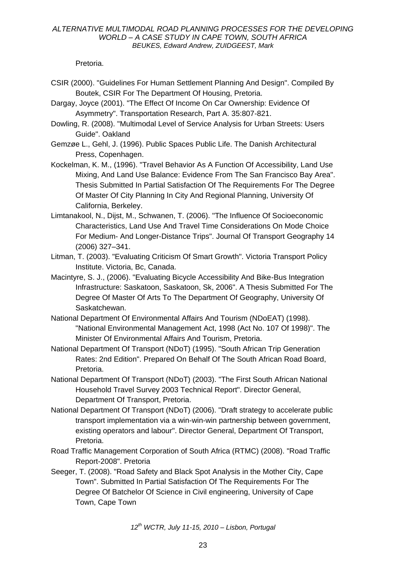Pretoria.

- CSIR (2000). "Guidelines For Human Settlement Planning And Design". Compiled By Boutek, CSIR For The Department Of Housing, Pretoria.
- Dargay, Joyce (2001). "The Effect Of Income On Car Ownership: Evidence Of Asymmetry". Transportation Research, Part A. 35:807-821.
- Dowling, R. (2008). "Multimodal Level of Service Analysis for Urban Streets: Users Guide". Oakland
- Gemzøe L., Gehl, J. (1996). Public Spaces Public Life. The Danish Architectural Press, Copenhagen.
- Kockelman, K. M., (1996). "Travel Behavior As A Function Of Accessibility, Land Use Mixing, And Land Use Balance: Evidence From The San Francisco Bay Area". Thesis Submitted In Partial Satisfaction Of The Requirements For The Degree Of Master Of City Planning In City And Regional Planning, University Of California, Berkeley.
- Limtanakool, N., Dijst, M., Schwanen, T. (2006). "The Influence Of Socioeconomic Characteristics, Land Use And Travel Time Considerations On Mode Choice For Medium- And Longer-Distance Trips". Journal Of Transport Geography 14 (2006) 327–341.
- Litman, T. (2003). "Evaluating Criticism Of Smart Growth". Victoria Transport Policy Institute. Victoria, Bc, Canada.
- Macintyre, S. J., (2006). "Evaluating Bicycle Accessibility And Bike-Bus Integration Infrastructure: Saskatoon, Saskatoon, Sk, 2006". A Thesis Submitted For The Degree Of Master Of Arts To The Department Of Geography, University Of Saskatchewan.
- National Department Of Environmental Affairs And Tourism (NDoEAT) (1998). "National Environmental Management Act, 1998 (Act No. 107 Of 1998)". The Minister Of Environmental Affairs And Tourism, Pretoria.
- National Department Of Transport (NDoT) (1995). "South African Trip Generation Rates: 2nd Edition". Prepared On Behalf Of The South African Road Board, Pretoria.
- National Department Of Transport (NDoT) (2003). "The First South African National Household Travel Survey 2003 Technical Report". Director General, Department Of Transport, Pretoria.
- National Department Of Transport (NDoT) (2006). "Draft strategy to accelerate public transport implementation via a win-win-win partnership between government, existing operators and labour". Director General, Department Of Transport, Pretoria.
- Road Traffic Management Corporation of South Africa (RTMC) (2008). "Road Traffic Report-2008". Pretoria
- Seeger, T. (2008). "Road Safety and Black Spot Analysis in the Mother City, Cape Town". Submitted In Partial Satisfaction Of The Requirements For The Degree Of Batchelor Of Science in Civil engineering, University of Cape Town, Cape Town